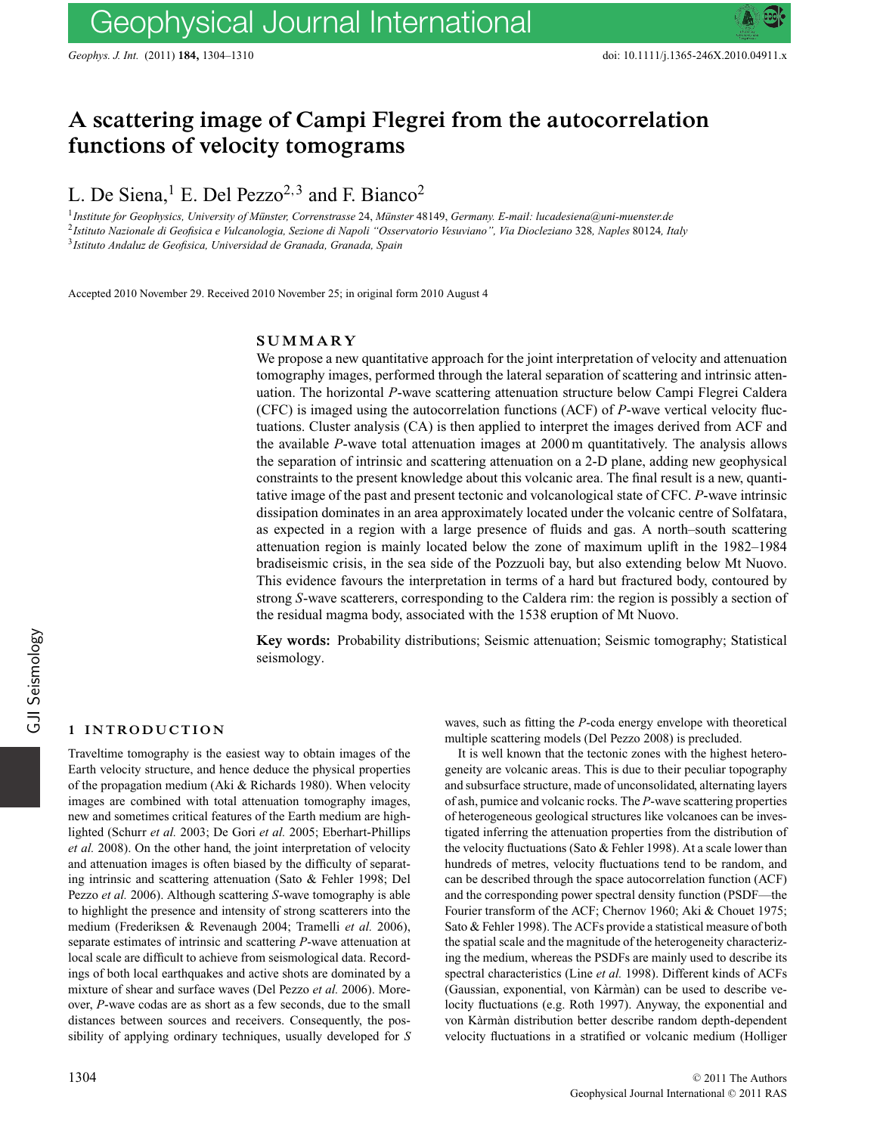# **A scattering image of Campi Flegrei from the autocorrelation functions of velocity tomograms**

L. De Siena,<sup>1</sup> E. Del Pezzo<sup>2,3</sup> and F. Bianco<sup>2</sup>

<sup>1</sup>Institute for Geophysics, University of Münster, Correnstrasse 24, Münster 48149, Germany. E-mail: lucadesiena@uni-muenster.de <sup>2</sup>*Istituto Nazionale di Geofisica e Vulcanologia, Sezione di Napoli "Osservatorio Vesuviano", Via Diocleziano* 328*, Naples* 80124*, Italy* <sup>3</sup>*Istituto Andaluz de Geofisica, Universidad de Granada, Granada, Spain*

Accepted 2010 November 29. Received 2010 November 25; in original form 2010 August 4

#### **SUMMARY**

We propose a new quantitative approach for the joint interpretation of velocity and attenuation tomography images, performed through the lateral separation of scattering and intrinsic attenuation. The horizontal *P*-wave scattering attenuation structure below Campi Flegrei Caldera (CFC) is imaged using the autocorrelation functions (ACF) of *P*-wave vertical velocity fluctuations. Cluster analysis (CA) is then applied to interpret the images derived from ACF and the available *P*-wave total attenuation images at 2000 m quantitatively. The analysis allows the separation of intrinsic and scattering attenuation on a 2-D plane, adding new geophysical constraints to the present knowledge about this volcanic area. The final result is a new, quantitative image of the past and present tectonic and volcanological state of CFC. *P*-wave intrinsic dissipation dominates in an area approximately located under the volcanic centre of Solfatara, as expected in a region with a large presence of fluids and gas. A north–south scattering attenuation region is mainly located below the zone of maximum uplift in the 1982–1984 bradiseismic crisis, in the sea side of the Pozzuoli bay, but also extending below Mt Nuovo. This evidence favours the interpretation in terms of a hard but fractured body, contoured by strong *S*-wave scatterers, corresponding to the Caldera rim: the region is possibly a section of the residual magma body, associated with the 1538 eruption of Mt Nuovo.

**Key words:** Probability distributions; Seismic attenuation; Seismic tomography; Statistical seismology.

# **1 INTRODUCTION**

Traveltime tomography is the easiest way to obtain images of the Earth velocity structure, and hence deduce the physical properties of the propagation medium (Aki & Richards 1980). When velocity images are combined with total attenuation tomography images, new and sometimes critical features of the Earth medium are highlighted (Schurr *et al.* 2003; De Gori *et al.* 2005; Eberhart-Phillips *et al.* 2008). On the other hand, the joint interpretation of velocity and attenuation images is often biased by the difficulty of separating intrinsic and scattering attenuation (Sato & Fehler 1998; Del Pezzo *et al.* 2006). Although scattering *S*-wave tomography is able to highlight the presence and intensity of strong scatterers into the medium (Frederiksen & Revenaugh 2004; Tramelli *et al.* 2006), separate estimates of intrinsic and scattering *P*-wave attenuation at local scale are difficult to achieve from seismological data. Recordings of both local earthquakes and active shots are dominated by a mixture of shear and surface waves (Del Pezzo *et al.* 2006). Moreover, *P*-wave codas are as short as a few seconds, due to the small distances between sources and receivers. Consequently, the possibility of applying ordinary techniques, usually developed for *S* waves, such as fitting the *P*-coda energy envelope with theoretical multiple scattering models (Del Pezzo 2008) is precluded.

It is well known that the tectonic zones with the highest heterogeneity are volcanic areas. This is due to their peculiar topography and subsurface structure, made of unconsolidated, alternating layers of ash, pumice and volcanic rocks. The *P*-wave scattering properties of heterogeneous geological structures like volcanoes can be investigated inferring the attenuation properties from the distribution of the velocity fluctuations (Sato & Fehler 1998). At a scale lower than hundreds of metres, velocity fluctuations tend to be random, and can be described through the space autocorrelation function (ACF) and the corresponding power spectral density function (PSDF—the Fourier transform of the ACF; Chernov 1960; Aki & Chouet 1975; Sato & Fehler 1998). The ACFs provide a statistical measure of both the spatial scale and the magnitude of the heterogeneity characterizing the medium, whereas the PSDFs are mainly used to describe its spectral characteristics (Line *et al.* 1998). Different kinds of ACFs (Gaussian, exponential, von Kàrmàn) can be used to describe velocity fluctuations (e.g. Roth 1997). Anyway, the exponential and von Karman distribution better describe random depth-dependent velocity fluctuations in a stratified or volcanic medium (Holliger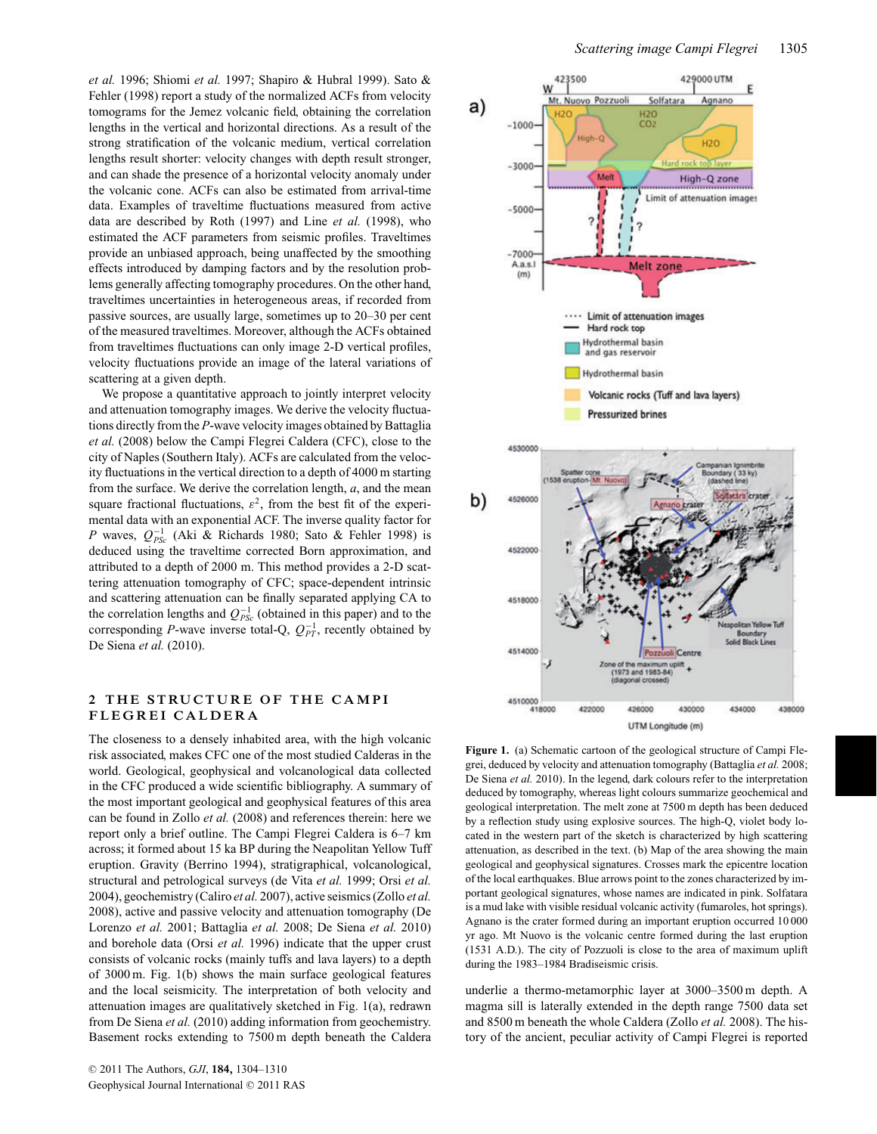*et al.* 1996; Shiomi *et al.* 1997; Shapiro & Hubral 1999). Sato & Fehler (1998) report a study of the normalized ACFs from velocity tomograms for the Jemez volcanic field, obtaining the correlation lengths in the vertical and horizontal directions. As a result of the strong stratification of the volcanic medium, vertical correlation lengths result shorter: velocity changes with depth result stronger, and can shade the presence of a horizontal velocity anomaly under the volcanic cone. ACFs can also be estimated from arrival-time data. Examples of traveltime fluctuations measured from active data are described by Roth (1997) and Line *et al.* (1998), who estimated the ACF parameters from seismic profiles. Traveltimes provide an unbiased approach, being unaffected by the smoothing effects introduced by damping factors and by the resolution problems generally affecting tomography procedures. On the other hand, traveltimes uncertainties in heterogeneous areas, if recorded from passive sources, are usually large, sometimes up to 20–30 per cent of the measured traveltimes. Moreover, although the ACFs obtained from traveltimes fluctuations can only image 2-D vertical profiles, velocity fluctuations provide an image of the lateral variations of scattering at a given depth.

We propose a quantitative approach to jointly interpret velocity and attenuation tomography images. We derive the velocity fluctuations directly from the *P*-wave velocity images obtained by Battaglia *et al.* (2008) below the Campi Flegrei Caldera (CFC), close to the city of Naples (Southern Italy). ACFs are calculated from the velocity fluctuations in the vertical direction to a depth of 4000 m starting from the surface. We derive the correlation length, *a*, and the mean square fractional fluctuations,  $\varepsilon^2$ , from the best fit of the experimental data with an exponential ACF. The inverse quality factor for *P* waves,  $Q_{PSc}^{-1}$  (Aki & Richards 1980; Sato & Fehler 1998) is deduced using the traveltime corrected Born approximation, and attributed to a depth of 2000 m. This method provides a 2-D scattering attenuation tomography of CFC; space-dependent intrinsic and scattering attenuation can be finally separated applying CA to the correlation lengths and  $Q_{PSc}^{-1}$  (obtained in this paper) and to the corresponding *P*-wave inverse total-Q,  $Q_{PT}^{-1}$ , recently obtained by De Siena *et al.* (2010).

# 2 THE STRUCTURE OF THE CAMPI **FLEGREI CALDERA**

The closeness to a densely inhabited area, with the high volcanic risk associated, makes CFC one of the most studied Calderas in the world. Geological, geophysical and volcanological data collected in the CFC produced a wide scientific bibliography. A summary of the most important geological and geophysical features of this area can be found in Zollo *et al.* (2008) and references therein: here we report only a brief outline. The Campi Flegrei Caldera is 6–7 km across; it formed about 15 ka BP during the Neapolitan Yellow Tuff eruption. Gravity (Berrino 1994), stratigraphical, volcanological, structural and petrological surveys (de Vita *et al.* 1999; Orsi *et al.* 2004), geochemistry (Caliro *et al.* 2007), active seismics (Zollo *et al.* 2008), active and passive velocity and attenuation tomography (De Lorenzo *et al.* 2001; Battaglia *et al.* 2008; De Siena *et al.* 2010) and borehole data (Orsi *et al.* 1996) indicate that the upper crust consists of volcanic rocks (mainly tuffs and lava layers) to a depth of 3000 m. Fig. 1(b) shows the main surface geological features and the local seismicity. The interpretation of both velocity and attenuation images are qualitatively sketched in Fig. 1(a), redrawn from De Siena *et al.* (2010) adding information from geochemistry. Basement rocks extending to 7500 m depth beneath the Caldera



UTM Longitude (m)

**Figure 1.** (a) Schematic cartoon of the geological structure of Campi Flegrei, deduced by velocity and attenuation tomography (Battaglia *et al.* 2008; De Siena *et al.* 2010). In the legend, dark colours refer to the interpretation deduced by tomography, whereas light colours summarize geochemical and geological interpretation. The melt zone at 7500 m depth has been deduced by a reflection study using explosive sources. The high-Q, violet body located in the western part of the sketch is characterized by high scattering attenuation, as described in the text. (b) Map of the area showing the main geological and geophysical signatures. Crosses mark the epicentre location of the local earthquakes. Blue arrows point to the zones characterized by important geological signatures, whose names are indicated in pink. Solfatara is a mud lake with visible residual volcanic activity (fumaroles, hot springs). Agnano is the crater formed during an important eruption occurred 10 000 yr ago. Mt Nuovo is the volcanic centre formed during the last eruption (1531 A.D.). The city of Pozzuoli is close to the area of maximum uplift during the 1983–1984 Bradiseismic crisis.

underlie a thermo-metamorphic layer at 3000–3500 m depth. A magma sill is laterally extended in the depth range 7500 data set and 8500 m beneath the whole Caldera (Zollo *et al.* 2008). The history of the ancient, peculiar activity of Campi Flegrei is reported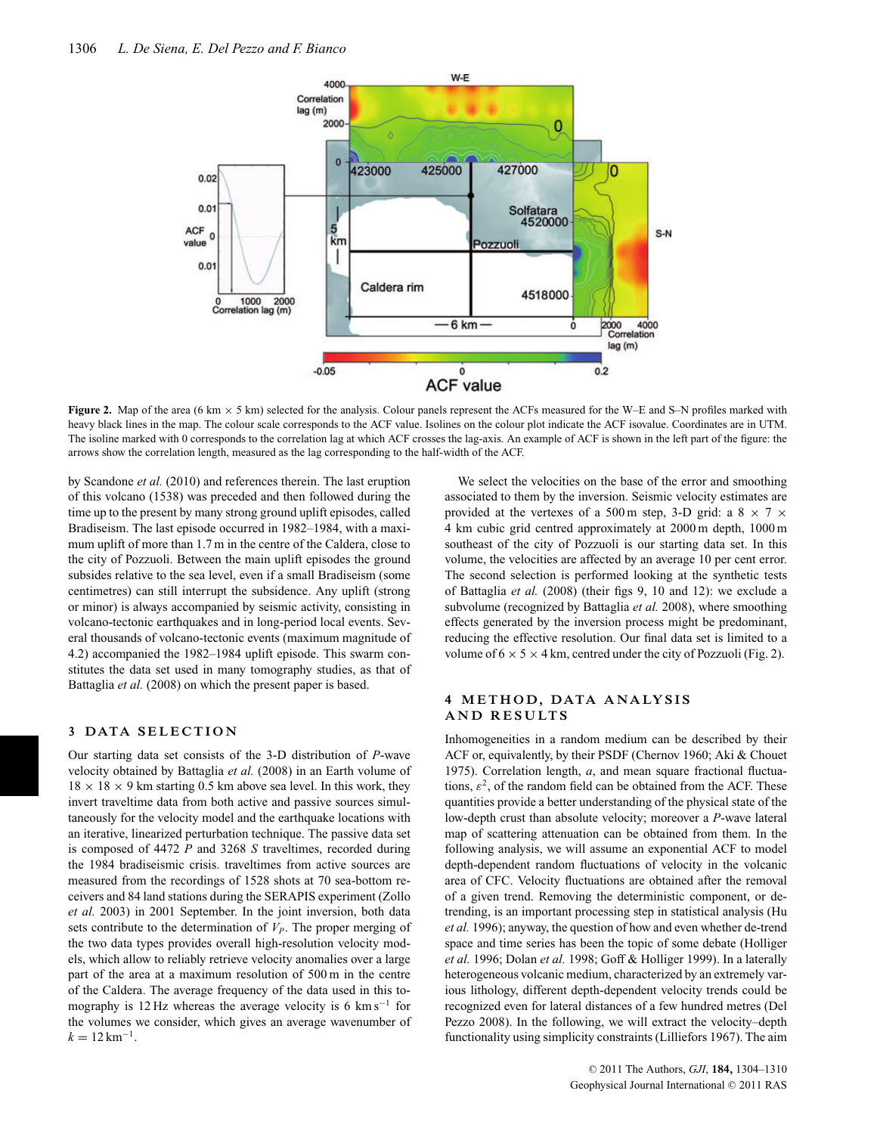

**Figure 2.** Map of the area (6 km <sup>×</sup> 5 km) selected for the analysis. Colour panels represent the ACFs measured for the W–E and S–N profiles marked with heavy black lines in the map. The colour scale corresponds to the ACF value. Isolines on the colour plot indicate the ACF isovalue. Coordinates are in UTM. The isoline marked with 0 corresponds to the correlation lag at which ACF crosses the lag-axis. An example of ACF is shown in the left part of the figure: the arrows show the correlation length, measured as the lag corresponding to the half-width of the ACF.

by Scandone *et al.* (2010) and references therein. The last eruption of this volcano (1538) was preceded and then followed during the time up to the present by many strong ground uplift episodes, called Bradiseism. The last episode occurred in 1982–1984, with a maximum uplift of more than 1.7 m in the centre of the Caldera, close to the city of Pozzuoli. Between the main uplift episodes the ground subsides relative to the sea level, even if a small Bradiseism (some centimetres) can still interrupt the subsidence. Any uplift (strong or minor) is always accompanied by seismic activity, consisting in volcano-tectonic earthquakes and in long-period local events. Several thousands of volcano-tectonic events (maximum magnitude of 4.2) accompanied the 1982–1984 uplift episode. This swarm constitutes the data set used in many tomography studies, as that of Battaglia *et al.* (2008) on which the present paper is based.

# **3 DATA SELECTION**

Our starting data set consists of the 3-D distribution of *P*-wave velocity obtained by Battaglia *et al.* (2008) in an Earth volume of  $18 \times 18 \times 9$  km starting 0.5 km above sea level. In this work, they invert traveltime data from both active and passive sources simultaneously for the velocity model and the earthquake locations with an iterative, linearized perturbation technique. The passive data set is composed of 4472 *P* and 3268 *S* traveltimes, recorded during the 1984 bradiseismic crisis. traveltimes from active sources are measured from the recordings of 1528 shots at 70 sea-bottom receivers and 84 land stations during the SERAPIS experiment (Zollo *et al.* 2003) in 2001 September. In the joint inversion, both data sets contribute to the determination of  $V_P$ . The proper merging of the two data types provides overall high-resolution velocity models, which allow to reliably retrieve velocity anomalies over a large part of the area at a maximum resolution of 500 m in the centre of the Caldera. The average frequency of the data used in this tomography is 12 Hz whereas the average velocity is 6  $km s^{-1}$  for the volumes we consider, which gives an average wavenumber of  $k = 12$  km<sup>-1</sup>.

We select the velocities on the base of the error and smoothing associated to them by the inversion. Seismic velocity estimates are provided at the vertexes of a 500 m step, 3-D grid: a  $8 \times 7 \times$ 4 km cubic grid centred approximately at 2000 m depth, 1000 m southeast of the city of Pozzuoli is our starting data set. In this volume, the velocities are affected by an average 10 per cent error. The second selection is performed looking at the synthetic tests of Battaglia *et al.* (2008) (their figs 9, 10 and 12): we exclude a subvolume (recognized by Battaglia *et al.* 2008), where smoothing effects generated by the inversion process might be predominant, reducing the effective resolution. Our final data set is limited to a volume of  $6 \times 5 \times 4$  km, centred under the city of Pozzuoli (Fig. 2).

# **4 METHOD, DATA ANALYSIS AND RESULTS**

Inhomogeneities in a random medium can be described by their ACF or, equivalently, by their PSDF (Chernov 1960; Aki & Chouet 1975). Correlation length, *a*, and mean square fractional fluctuations,  $\varepsilon^2$ , of the random field can be obtained from the ACF. These quantities provide a better understanding of the physical state of the low-depth crust than absolute velocity; moreover a *P*-wave lateral map of scattering attenuation can be obtained from them. In the following analysis, we will assume an exponential ACF to model depth-dependent random fluctuations of velocity in the volcanic area of CFC. Velocity fluctuations are obtained after the removal of a given trend. Removing the deterministic component, or detrending, is an important processing step in statistical analysis (Hu *et al.* 1996); anyway, the question of how and even whether de-trend space and time series has been the topic of some debate (Holliger *et al.* 1996; Dolan *et al.* 1998; Goff & Holliger 1999). In a laterally heterogeneous volcanic medium, characterized by an extremely various lithology, different depth-dependent velocity trends could be recognized even for lateral distances of a few hundred metres (Del Pezzo 2008). In the following, we will extract the velocity–depth functionality using simplicity constraints (Lilliefors 1967). The aim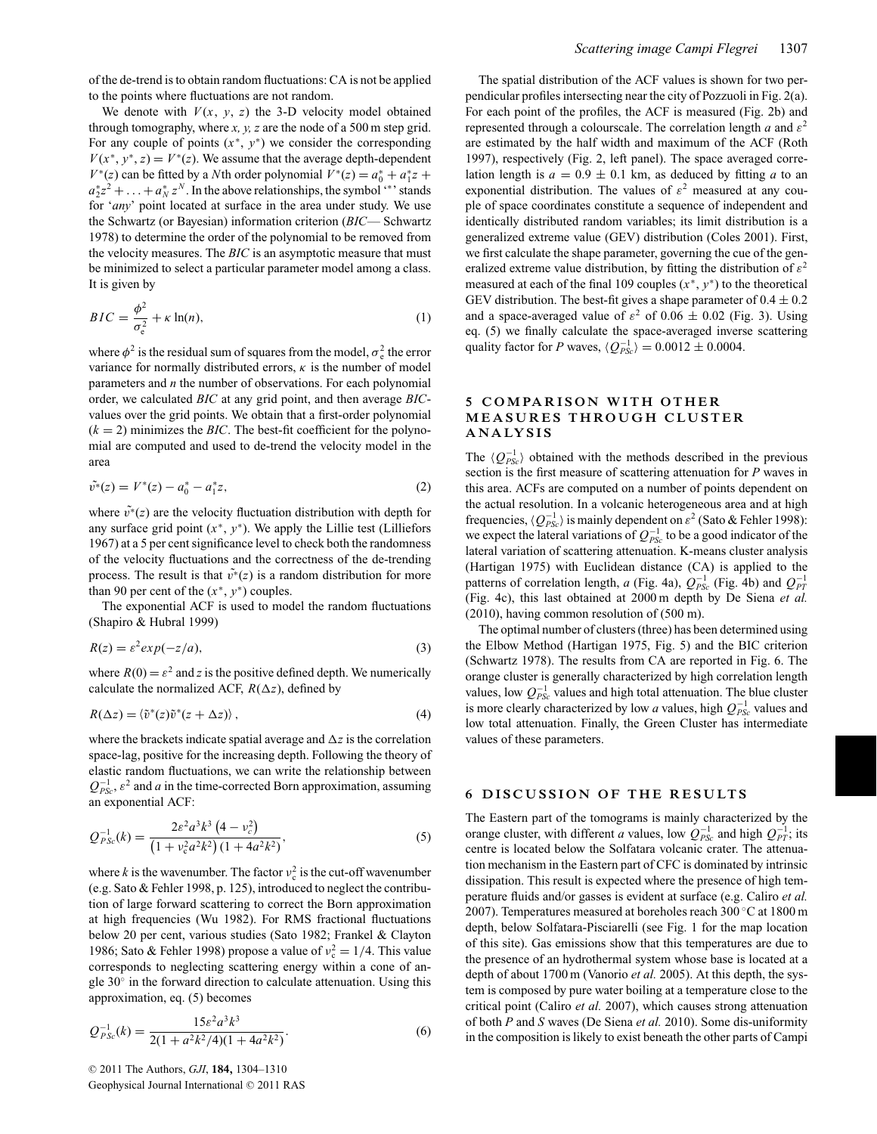of the de-trend is to obtain random fluctuations: CA is not be applied to the points where fluctuations are not random.

We denote with  $V(x, y, z)$  the 3-D velocity model obtained through tomography, where *x, y, z* are the node of a 500 m step grid. For any couple of points  $(x^*, y^*)$  we consider the corresponding  $V(x^*, y^*, z) = V^*(z)$ . We assume that the average depth-dependent *V*<sup>\*</sup>(*z*) can be fitted by a *N*th order polynomial  $V^*(z) = a_0^* + a_1^*z + a_2^*z$  $a_2^*z^2 + \ldots + a_N^*z^N$ . In the above relationships, the symbol '\*' stands for '*any*' point located at surface in the area under study. We use the Schwartz (or Bayesian) information criterion (*BIC*— Schwartz 1978) to determine the order of the polynomial to be removed from the velocity measures. The *BIC* is an asymptotic measure that must be minimized to select a particular parameter model among a class. It is given by

$$
BIC = \frac{\phi^2}{\sigma_e^2} + \kappa \ln(n),\tag{1}
$$

where  $\phi^2$  is the residual sum of squares from the model,  $\sigma_e^2$  the error variance for normally distributed errors,  $\kappa$  is the number of model parameters and *n* the number of observations. For each polynomial order, we calculated *BIC* at any grid point, and then average *BIC*values over the grid points. We obtain that a first-order polynomial  $(k = 2)$  minimizes the *BIC*. The best-fit coefficient for the polynomial are computed and used to de-trend the velocity model in the area

$$
\tilde{v^*}(z) = V^*(z) - a_0^* - a_1^* z,\tag{2}
$$

where  $\tilde{v}^*(z)$  are the velocity fluctuation distribution with depth for any surface grid point  $(x^*, y^*)$ . We apply the Lillie test (Lilliefors 1967) at a 5 per cent significance level to check both the randomness of the velocity fluctuations and the correctness of the de-trending process. The result is that  $\tilde{v}^*(z)$  is a random distribution for more than 90 per cent of the  $(x^*, y^*)$  couples.

The exponential ACF is used to model the random fluctuations (Shapiro & Hubral 1999)

$$
R(z) = \varepsilon^2 \exp(-z/a),\tag{3}
$$

where  $R(0) = \varepsilon^2$  and *z* is the positive defined depth. We numerically calculate the normalized ACF,  $R(\Delta z)$ , defined by

$$
R(\Delta z) = \langle \tilde{v}^*(z)\tilde{v}^*(z + \Delta z) \rangle, \qquad (4)
$$

where the brackets indicate spatial average and  $\Delta z$  is the correlation space-lag, positive for the increasing depth. Following the theory of elastic random fluctuations, we can write the relationship between  $Q^{-1}_{PSc}$ ,  $\varepsilon^2$  and *a* in the time-corrected Born approximation, assuming an exponential ACF:

$$
Q_{PSc}^{-1}(k) = \frac{2\varepsilon^2 a^3 k^3 (4 - v_c^2)}{(1 + v_c^2 a^2 k^2)(1 + 4a^2 k^2)},
$$
\n(5)

where *k* is the wavenumber. The factor  $v_c^2$  is the cut-off wavenumber (e.g. Sato & Fehler 1998, p. 125), introduced to neglect the contribution of large forward scattering to correct the Born approximation at high frequencies (Wu 1982). For RMS fractional fluctuations below 20 per cent, various studies (Sato 1982; Frankel & Clayton 1986; Sato & Fehler 1998) propose a value of  $v_c^2 = 1/4$ . This value corresponds to neglecting scattering energy within a cone of angle 30◦ in the forward direction to calculate attenuation. Using this approximation, eq. (5) becomes

$$
Q_{PSc}^{-1}(k) = \frac{15\varepsilon^2 a^3 k^3}{2(1 + a^2 k^2/4)(1 + 4a^2 k^2)}.
$$
\n(6)

The spatial distribution of the ACF values is shown for two perpendicular profiles intersecting near the city of Pozzuoli in Fig. 2(a). For each point of the profiles, the ACF is measured (Fig. 2b) and represented through a colourscale. The correlation length *a* and  $\varepsilon^2$ are estimated by the half width and maximum of the ACF (Roth 1997), respectively (Fig. 2, left panel). The space averaged correlation length is  $a = 0.9 \pm 0.1$  km, as deduced by fitting *a* to an exponential distribution. The values of  $\varepsilon^2$  measured at any couple of space coordinates constitute a sequence of independent and identically distributed random variables; its limit distribution is a generalized extreme value (GEV) distribution (Coles 2001). First, we first calculate the shape parameter, governing the cue of the generalized extreme value distribution, by fitting the distribution of  $\varepsilon^2$ measured at each of the final 109 couples  $(x^*, y^*)$  to the theoretical GEV distribution. The best-fit gives a shape parameter of  $0.4 \pm 0.2$ and a space-averaged value of  $\varepsilon^2$  of 0.06  $\pm$  0.02 (Fig. 3). Using eq. (5) we finally calculate the space-averaged inverse scattering quality factor for *P* waves,  $\langle Q_{PSc}^{-1} \rangle = 0.0012 \pm 0.0004$ .

# **5 COMPARISON WITH OTHER MEASURES THROUGH CLUSTER ANA LYS I S**

The  $\langle Q_{PSc}^{-1} \rangle$  obtained with the methods described in the previous section is the first measure of scattering attenuation for *P* waves in this area. ACFs are computed on a number of points dependent on the actual resolution. In a volcanic heterogeneous area and at high frequencies,  $\langle Q_{PSc}^{-1} \rangle$  is mainly dependent on  $\varepsilon^2$  (Sato & Fehler 1998): we expect the lateral variations of  $Q_{PSc}^{-1}$  to be a good indicator of the lateral variation of scattering attenuation. K-means cluster analysis (Hartigan 1975) with Euclidean distance (CA) is applied to the patterns of correlation length, *a* (Fig. 4a),  $Q_{PSc}^{-1}$  (Fig. 4b) and  $Q_{PT}^{-1}$ (Fig. 4c), this last obtained at 2000 m depth by De Siena *et al.* (2010), having common resolution of (500 m).

The optimal number of clusters (three) has been determined using the Elbow Method (Hartigan 1975, Fig. 5) and the BIC criterion (Schwartz 1978). The results from CA are reported in Fig. 6. The orange cluster is generally characterized by high correlation length values, low  $Q_{PSc}^{-1}$  values and high total attenuation. The blue cluster is more clearly characterized by low *a* values, high  $Q_{PSc}^{-1}$  values and low total attenuation. Finally, the Green Cluster has intermediate values of these parameters.

### **6 DISCUSSION OF THE RESULTS**

The Eastern part of the tomograms is mainly characterized by the orange cluster, with different *a* values, low  $Q_{PSc}^{-1}$  and high  $Q_{PT}^{-1}$ ; its centre is located below the Solfatara volcanic crater. The attenuation mechanism in the Eastern part of CFC is dominated by intrinsic dissipation. This result is expected where the presence of high temperature fluids and/or gasses is evident at surface (e.g. Caliro *et al.* 2007). Temperatures measured at boreholes reach 300 ◦C at 1800 m depth, below Solfatara-Pisciarelli (see Fig. 1 for the map location of this site). Gas emissions show that this temperatures are due to the presence of an hydrothermal system whose base is located at a depth of about 1700 m (Vanorio *et al.* 2005). At this depth, the system is composed by pure water boiling at a temperature close to the critical point (Caliro *et al.* 2007), which causes strong attenuation of both *P* and *S* waves (De Siena *et al.* 2010). Some dis-uniformity in the composition is likely to exist beneath the other parts of Campi

© 2011 The Authors, *GJI*, **184**, 1304–1310 Geophysical Journal International © 2011 RAS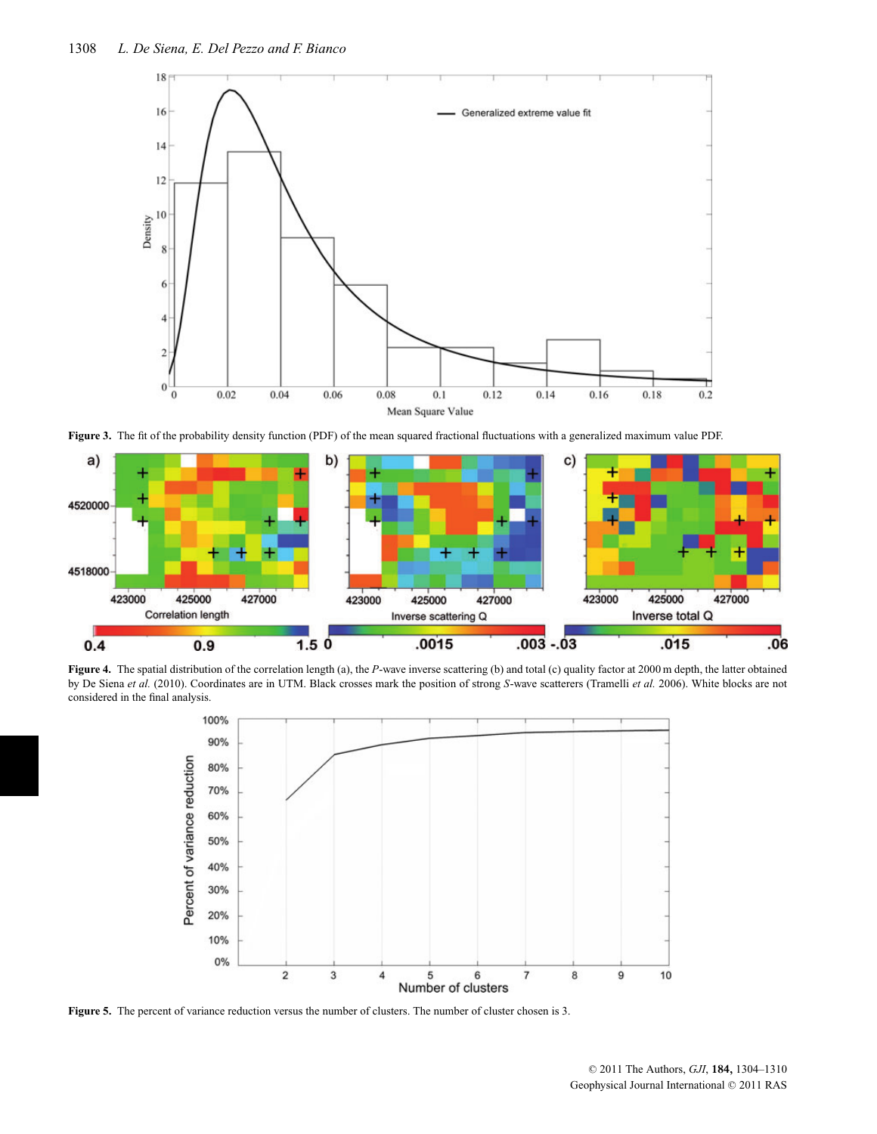

**Figure 3.** The fit of the probability density function (PDF) of the mean squared fractional fluctuations with a generalized maximum value PDF.



**Figure 4.** The spatial distribution of the correlation length (a), the *<sup>P</sup>*-wave inverse scattering (b) and total (c) quality factor at 2000 m depth, the latter obtained by De Siena *et al.* (2010). Coordinates are in UTM. Black crosses mark the position of strong *S*-wave scatterers (Tramelli *et al.* 2006). White blocks are not considered in the final analysis.



Figure 5. The percent of variance reduction versus the number of clusters. The number of cluster chosen is 3.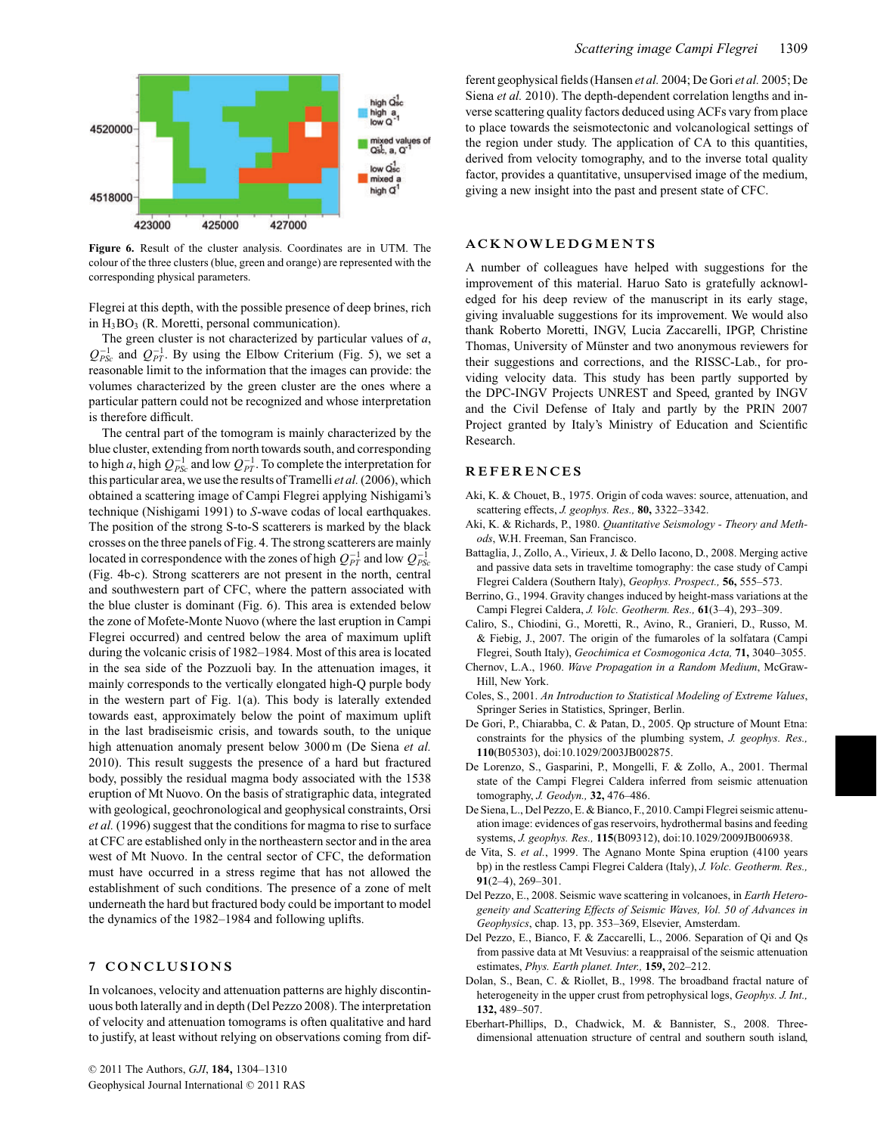

**Figure 6.** Result of the cluster analysis. Coordinates are in UTM. The colour of the three clusters (blue, green and orange) are represented with the corresponding physical parameters.

Flegrei at this depth, with the possible presence of deep brines, rich in  $H_3BO_3$  (R. Moretti, personal communication).

The green cluster is not characterized by particular values of *a*,  $Q_{PSc}^{-1}$  and  $Q_{PT}^{-1}$ . By using the Elbow Criterium (Fig. 5), we set a reasonable limit to the information that the images can provide: the volumes characterized by the green cluster are the ones where a particular pattern could not be recognized and whose interpretation is therefore difficult.

The central part of the tomogram is mainly characterized by the blue cluster, extending from north towards south, and corresponding to high *a*, high  $Q_{PSc}^{-1}$  and low  $Q_{PT}^{-1}$ . To complete the interpretation for this particular area, we use the results of Tramelli *et al.*(2006), which obtained a scattering image of Campi Flegrei applying Nishigami's technique (Nishigami 1991) to *S*-wave codas of local earthquakes. The position of the strong S-to-S scatterers is marked by the black crosses on the three panels of Fig. 4. The strong scatterers are mainly located in correspondence with the zones of high  $Q_{PT}^{-1}$  and low  $Q_{PSc}^{-1}$ (Fig. 4b-c). Strong scatterers are not present in the north, central and southwestern part of CFC, where the pattern associated with the blue cluster is dominant (Fig. 6). This area is extended below the zone of Mofete-Monte Nuovo (where the last eruption in Campi Flegrei occurred) and centred below the area of maximum uplift during the volcanic crisis of 1982–1984. Most of this area is located in the sea side of the Pozzuoli bay. In the attenuation images, it mainly corresponds to the vertically elongated high-Q purple body in the western part of Fig. 1(a). This body is laterally extended towards east, approximately below the point of maximum uplift in the last bradiseismic crisis, and towards south, to the unique high attenuation anomaly present below 3000 m (De Siena *et al.* 2010). This result suggests the presence of a hard but fractured body, possibly the residual magma body associated with the 1538 eruption of Mt Nuovo. On the basis of stratigraphic data, integrated with geological, geochronological and geophysical constraints, Orsi *et al.* (1996) suggest that the conditions for magma to rise to surface at CFC are established only in the northeastern sector and in the area west of Mt Nuovo. In the central sector of CFC, the deformation must have occurred in a stress regime that has not allowed the establishment of such conditions. The presence of a zone of melt underneath the hard but fractured body could be important to model the dynamics of the 1982–1984 and following uplifts.

# **7 CONCLUSIONS**

In volcanoes, velocity and attenuation patterns are highly discontinuous both laterally and in depth (Del Pezzo 2008). The interpretation of velocity and attenuation tomograms is often qualitative and hard to justify, at least without relying on observations coming from different geophysical fields (Hansen *et al.* 2004; De Gori *et al.* 2005; De Siena *et al.* 2010). The depth-dependent correlation lengths and inverse scattering quality factors deduced using ACFs vary from place to place towards the seismotectonic and volcanological settings of the region under study. The application of CA to this quantities, derived from velocity tomography, and to the inverse total quality factor, provides a quantitative, unsupervised image of the medium, giving a new insight into the past and present state of CFC.

# **ACKNOWLEDGMENTS**

A number of colleagues have helped with suggestions for the improvement of this material. Haruo Sato is gratefully acknowledged for his deep review of the manuscript in its early stage, giving invaluable suggestions for its improvement. We would also thank Roberto Moretti, INGV, Lucia Zaccarelli, IPGP, Christine Thomas, University of Münster and two anonymous reviewers for their suggestions and corrections, and the RISSC-Lab., for providing velocity data. This study has been partly supported by the DPC-INGV Projects UNREST and Speed, granted by INGV and the Civil Defense of Italy and partly by the PRIN 2007 Project granted by Italy's Ministry of Education and Scientific Research.

#### **REFERENCES**

- Aki, K. & Chouet, B., 1975. Origin of coda waves: source, attenuation, and scattering effects, *J. geophys. Res.,* **80,** 3322–3342.
- Aki, K. & Richards, P., 1980. *Quantitative Seismology Theory and Methods*, W.H. Freeman, San Francisco.
- Battaglia, J., Zollo, A., Virieux, J. & Dello Iacono, D., 2008. Merging active and passive data sets in traveltime tomography: the case study of Campi Flegrei Caldera (Southern Italy), *Geophys. Prospect.,* **56,** 555–573.
- Berrino, G., 1994. Gravity changes induced by height-mass variations at the Campi Flegrei Caldera, *J. Volc. Geotherm. Res.,* **61**(3–4), 293–309.
- Caliro, S., Chiodini, G., Moretti, R., Avino, R., Granieri, D., Russo, M. & Fiebig, J., 2007. The origin of the fumaroles of la solfatara (Campi Flegrei, South Italy), *Geochimica et Cosmogonica Acta,* **71,** 3040–3055.
- Chernov, L.A., 1960. *Wave Propagation in a Random Medium*, McGraw-Hill, New York.
- Coles, S., 2001. *An Introduction to Statistical Modeling of Extreme Values*, Springer Series in Statistics, Springer, Berlin.
- De Gori, P., Chiarabba, C. & Patan, D., 2005. Qp structure of Mount Etna: constraints for the physics of the plumbing system, *J. geophys. Res.,* **110**(B05303), doi:10.1029/2003JB002875.
- De Lorenzo, S., Gasparini, P., Mongelli, F. & Zollo, A., 2001. Thermal state of the Campi Flegrei Caldera inferred from seismic attenuation tomography, *J. Geodyn.,* **32,** 476–486.
- De Siena, L., Del Pezzo, E. & Bianco, F., 2010. Campi Flegrei seismic attenuation image: evidences of gas reservoirs, hydrothermal basins and feeding systems, *J. geophys. Res.,* **115**(B09312), doi:10.1029/2009JB006938.
- de Vita, S. *et al.*, 1999. The Agnano Monte Spina eruption (4100 years bp) in the restless Campi Flegrei Caldera (Italy), *J. Volc. Geotherm. Res.,* **91**(2–4), 269–301.
- Del Pezzo, E., 2008. Seismic wave scattering in volcanoes, in *Earth Heterogeneity and Scattering Effects of Seismic Waves, Vol. 50 of Advances in Geophysics*, chap. 13, pp. 353–369, Elsevier, Amsterdam.
- Del Pezzo, E., Bianco, F. & Zaccarelli, L., 2006. Separation of Qi and Qs from passive data at Mt Vesuvius: a reappraisal of the seismic attenuation estimates, *Phys. Earth planet. Inter.,* **159,** 202–212.
- Dolan, S., Bean, C. & Riollet, B., 1998. The broadband fractal nature of heterogeneity in the upper crust from petrophysical logs, *Geophys. J. Int.,* **132,** 489–507.
- Eberhart-Phillips, D., Chadwick, M. & Bannister, S., 2008. Threedimensional attenuation structure of central and southern south island,